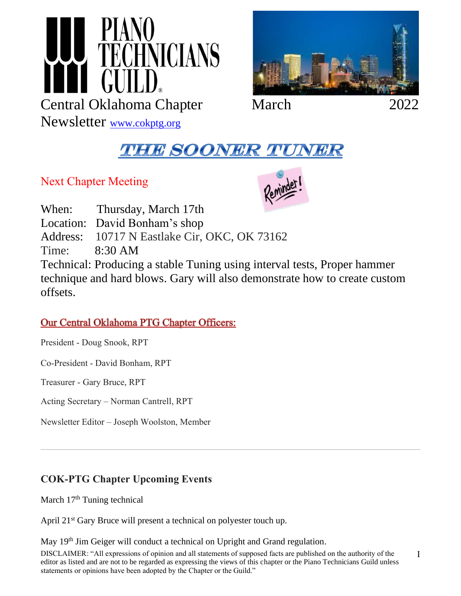



## **THE SOONER TUNER**

Next Chapter Meeting

Newsletter [www.cokptg.org](http://www.cokptg.org/)



When: Thursday, March 17th Location: David Bonham's shop Address: 10717 N Eastlake Cir, OKC, OK 73162 Time: 8:30 AM Technical: Producing a stable Tuning using interval tests, Proper hammer technique and hard blows. Gary will also demonstrate how to create custom offsets.

## **Our Central Oklahoma PTG Chapter Officers:**

President - Doug Snook, RPT

Co-President - David Bonham, RPT

Treasurer - Gary Bruce, RPT

Acting Secretary – Norman Cantrell, RPT

Newsletter Editor – Joseph Woolston, Member

## **COK-PTG Chapter Upcoming Events**

March 17<sup>th</sup> Tuning technical

April 21<sup>st</sup> Gary Bruce will present a technical on polyester touch up.

May 19<sup>th</sup> Jim Geiger will conduct a technical on Upright and Grand regulation.

DISCLAIMER: "All expressions of opinion and all statements of supposed facts are published on the authority of the editor as listed and are not to be regarded as expressing the views of this chapter or the Piano Technicians Guild unless statements or opinions have been adopted by the Chapter or the Guild."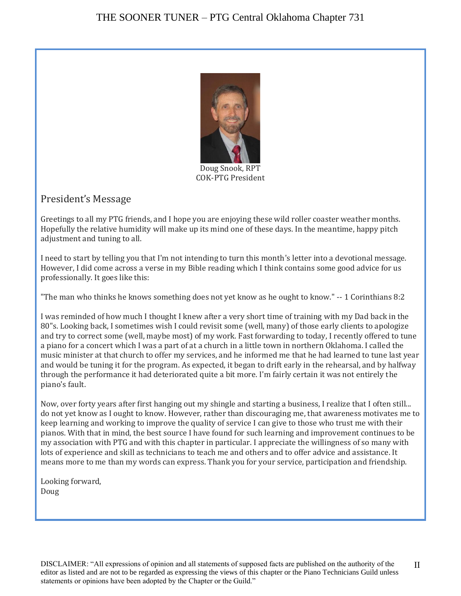

Doug Snook, RPT COK-PTG President

### President's Message

Greetings to all my PTG friends, and I hope you are enjoying these wild roller coaster weather months. Hopefully the relative humidity will make up its mind one of these days. In the meantime, happy pitch adjustment and tuning to all.

I need to start by telling you that I'm not intending to turn this month's letter into a devotional message. However, I did come across a verse in my Bible reading which I think contains some good advice for us professionally. It goes like this:

"The man who thinks he knows something does not yet know as he ought to know." -- 1 Corinthians 8:2

I was reminded of how much I thought I knew after a very short time of training with my Dad back in the 80"s. Looking back, I sometimes wish I could revisit some (well, many) of those early clients to apologize and try to correct some (well, maybe most) of my work. Fast forwarding to today, I recently offered to tune a piano for a concert which I was a part of at a church in a little town in northern Oklahoma. I called the music minister at that church to offer my services, and he informed me that he had learned to tune last year and would be tuning it for the program. As expected, it began to drift early in the rehearsal, and by halfway through the performance it had deteriorated quite a bit more. I'm fairly certain it was not entirely the piano's fault.

Now, over forty years after first hanging out my shingle and starting a business, I realize that I often still... do not yet know as I ought to know. However, rather than discouraging me, that awareness motivates me to keep learning and working to improve the quality of service I can give to those who trust me with their pianos. With that in mind, the best source I have found for such learning and improvement continues to be my association with PTG and with this chapter in particular. I appreciate the willingness of so many with lots of experience and skill as technicians to teach me and others and to offer advice and assistance. It means more to me than my words can express. Thank you for your service, participation and friendship.

Looking forward, Doug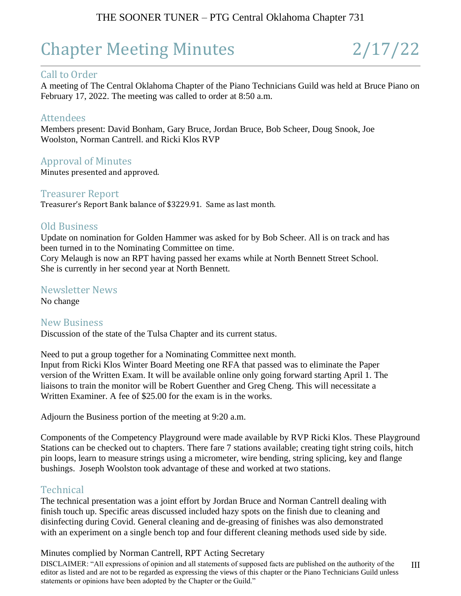## THE SOONER TUNER – PTG Central Oklahoma Chapter 731

# Chapter Meeting Minutes 2/17/22

#### Call to Order

A meeting of The Central Oklahoma Chapter of the Piano Technicians Guild was held at Bruce Piano on February 17, 2022. The meeting was called to order at 8:50 a.m.

#### Attendees

Members present: David Bonham, Gary Bruce, Jordan Bruce, Bob Scheer, Doug Snook, Joe Woolston, Norman Cantrell. and Ricki Klos RVP

#### Approval of Minutes

Minutes presented and approved.

#### Treasurer Report

Treasurer's Report Bank balance of \$3229.91. Same as last month.

#### Old Business

Update on nomination for Golden Hammer was asked for by Bob Scheer. All is on track and has been turned in to the Nominating Committee on time.

Cory Melaugh is now an RPT having passed her exams while at North Bennett Street School. She is currently in her second year at North Bennett.

#### Newsletter News

No change

#### New Business

Discussion of the state of the Tulsa Chapter and its current status.

Need to put a group together for a Nominating Committee next month. Input from Ricki Klos Winter Board Meeting one RFA that passed was to eliminate the Paper version of the Written Exam. It will be available online only going forward starting April 1. The liaisons to train the monitor will be Robert Guenther and Greg Cheng. This will necessitate a Written Examiner. A fee of \$25.00 for the exam is in the works.

Adjourn the Business portion of the meeting at 9:20 a.m.

Components of the Competency Playground were made available by RVP Ricki Klos. These Playground Stations can be checked out to chapters. There fare 7 stations available; creating tight string coils, hitch pin loops, learn to measure strings using a micrometer, wire bending, string splicing, key and flange bushings. Joseph Woolston took advantage of these and worked at two stations.

#### **Technical**

The technical presentation was a joint effort by Jordan Bruce and Norman Cantrell dealing with finish touch up. Specific areas discussed included hazy spots on the finish due to cleaning and disinfecting during Covid. General cleaning and de-greasing of finishes was also demonstrated with an experiment on a single bench top and four different cleaning methods used side by side.

#### Minutes complied by Norman Cantrell, RPT Acting Secretary

DISCLAIMER: "All expressions of opinion and all statements of supposed facts are published on the authority of the editor as listed and are not to be regarded as expressing the views of this chapter or the Piano Technicians Guild unless statements or opinions have been adopted by the Chapter or the Guild." III